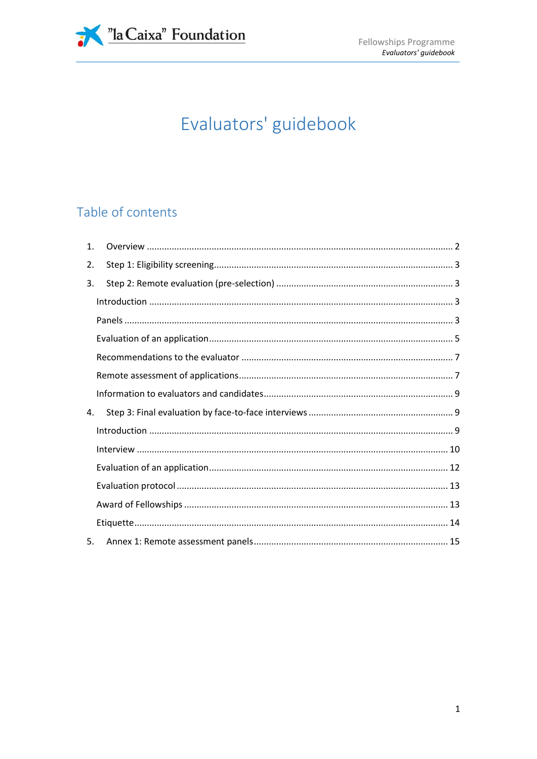

# Evaluators' guidebook

# Table of contents

| $\mathbf{1}$ . |  |
|----------------|--|
| 2.             |  |
| 3.             |  |
|                |  |
|                |  |
|                |  |
|                |  |
|                |  |
|                |  |
| 4.             |  |
|                |  |
|                |  |
|                |  |
|                |  |
|                |  |
|                |  |
| 5.             |  |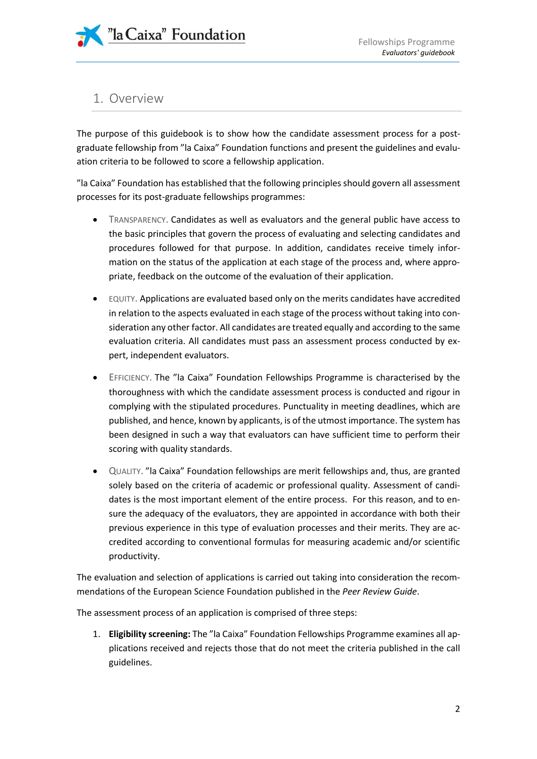# <span id="page-1-0"></span>1. Overview

The purpose of this guidebook is to show how the candidate assessment process for a postgraduate fellowship from "la Caixa" Foundation functions and present the guidelines and evaluation criteria to be followed to score a fellowship application.

"la Caixa" Foundation has established that the following principles should govern all assessment processes for its post-graduate fellowships programmes:

- TRANSPARENCY. Candidates as well as evaluators and the general public have access to the basic principles that govern the process of evaluating and selecting candidates and procedures followed for that purpose. In addition, candidates receive timely information on the status of the application at each stage of the process and, where appropriate, feedback on the outcome of the evaluation of their application.
- EQUITY. Applications are evaluated based only on the merits candidates have accredited in relation to the aspects evaluated in each stage of the process without taking into consideration any other factor. All candidates are treated equally and according to the same evaluation criteria. All candidates must pass an assessment process conducted by expert, independent evaluators.
- EFFICIENCY. The "la Caixa" Foundation Fellowships Programme is characterised by the thoroughness with which the candidate assessment process is conducted and rigour in complying with the stipulated procedures. Punctuality in meeting deadlines, which are published, and hence, known by applicants, is of the utmost importance. The system has been designed in such a way that evaluators can have sufficient time to perform their scoring with quality standards.
- QUALITY. "la Caixa" Foundation fellowships are merit fellowships and, thus, are granted solely based on the criteria of academic or professional quality. Assessment of candidates is the most important element of the entire process. For this reason, and to ensure the adequacy of the evaluators, they are appointed in accordance with both their previous experience in this type of evaluation processes and their merits. They are accredited according to conventional formulas for measuring academic and/or scientific productivity.

The evaluation and selection of applications is carried out taking into consideration the recommendations of the European Science Foundation published in the *Peer Review Guide*.

The assessment process of an application is comprised of three steps:

1. **Eligibility screening:** The "la Caixa" Foundation Fellowships Programme examines all applications received and rejects those that do not meet the criteria published in the call guidelines.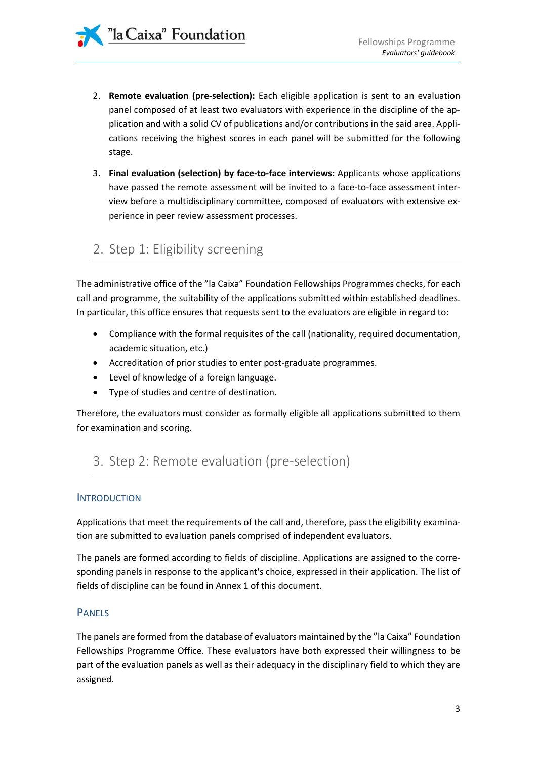"la Caixa" Foundation

- 2. **Remote evaluation (pre-selection):** Each eligible application is sent to an evaluation panel composed of at least two evaluators with experience in the discipline of the application and with a solid CV of publications and/or contributions in the said area. Applications receiving the highest scores in each panel will be submitted for the following stage.
- 3. **Final evaluation (selection) by face-to-face interviews:** Applicants whose applications have passed the remote assessment will be invited to a face-to-face assessment interview before a multidisciplinary committee, composed of evaluators with extensive experience in peer review assessment processes.

# <span id="page-2-0"></span>2. Step 1: Eligibility screening

The administrative office of the "la Caixa" Foundation Fellowships Programmes checks, for each call and programme, the suitability of the applications submitted within established deadlines. In particular, this office ensures that requests sent to the evaluators are eligible in regard to:

- Compliance with the formal requisites of the call (nationality, required documentation, academic situation, etc.)
- Accreditation of prior studies to enter post-graduate programmes.
- Level of knowledge of a foreign language.
- Type of studies and centre of destination.

Therefore, the evaluators must consider as formally eligible all applications submitted to them for examination and scoring.

# <span id="page-2-1"></span>3. Step 2: Remote evaluation (pre-selection)

#### <span id="page-2-2"></span>**INTRODUCTION**

Applications that meet the requirements of the call and, therefore, pass the eligibility examination are submitted to evaluation panels comprised of independent evaluators.

The panels are formed according to fields of discipline. Applications are assigned to the corresponding panels in response to the applicant's choice, expressed in their application. The list of fields of discipline can be found in Annex 1 of this document.

### <span id="page-2-3"></span>PANELS

The panels are formed from the database of evaluators maintained by the "la Caixa" Foundation Fellowships Programme Office. These evaluators have both expressed their willingness to be part of the evaluation panels as well as their adequacy in the disciplinary field to which they are assigned.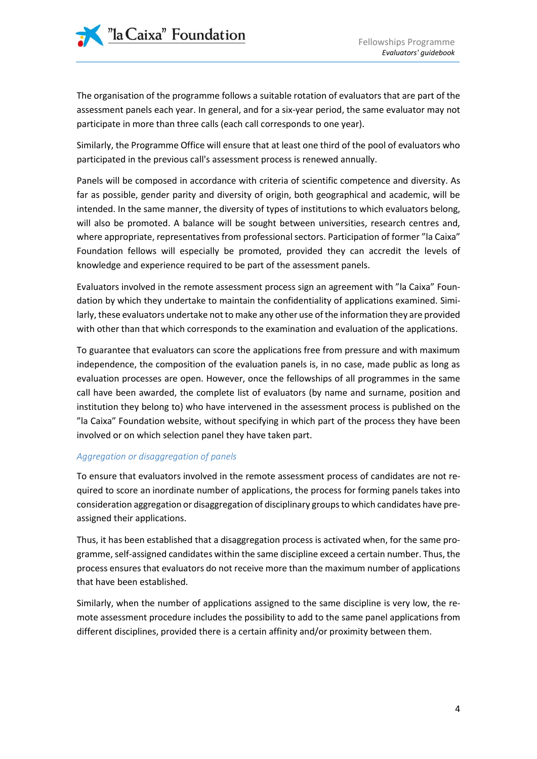The organisation of the programme follows a suitable rotation of evaluators that are part of the assessment panels each year. In general, and for a six-year period, the same evaluator may not participate in more than three calls (each call corresponds to one year).

Similarly, the Programme Office will ensure that at least one third of the pool of evaluators who participated in the previous call's assessment process is renewed annually.

Panels will be composed in accordance with criteria of scientific competence and diversity. As far as possible, gender parity and diversity of origin, both geographical and academic, will be intended. In the same manner, the diversity of types of institutions to which evaluators belong, will also be promoted. A balance will be sought between universities, research centres and, where appropriate, representatives from professional sectors. Participation of former "la Caixa" Foundation fellows will especially be promoted, provided they can accredit the levels of knowledge and experience required to be part of the assessment panels.

Evaluators involved in the remote assessment process sign an agreement with "la Caixa" Foundation by which they undertake to maintain the confidentiality of applications examined. Similarly, these evaluators undertake not to make any other use of the information they are provided with other than that which corresponds to the examination and evaluation of the applications.

To guarantee that evaluators can score the applications free from pressure and with maximum independence, the composition of the evaluation panels is, in no case, made public as long as evaluation processes are open. However, once the fellowships of all programmes in the same call have been awarded, the complete list of evaluators (by name and surname, position and institution they belong to) who have intervened in the assessment process is published on the "la Caixa" Foundation website, without specifying in which part of the process they have been involved or on which selection panel they have taken part.

#### *Aggregation or disaggregation of panels*

To ensure that evaluators involved in the remote assessment process of candidates are not required to score an inordinate number of applications, the process for forming panels takes into consideration aggregation or disaggregation of disciplinary groups to which candidates have preassigned their applications.

Thus, it has been established that a disaggregation process is activated when, for the same programme, self-assigned candidates within the same discipline exceed a certain number. Thus, the process ensures that evaluators do not receive more than the maximum number of applications that have been established.

Similarly, when the number of applications assigned to the same discipline is very low, the remote assessment procedure includes the possibility to add to the same panel applications from different disciplines, provided there is a certain affinity and/or proximity between them.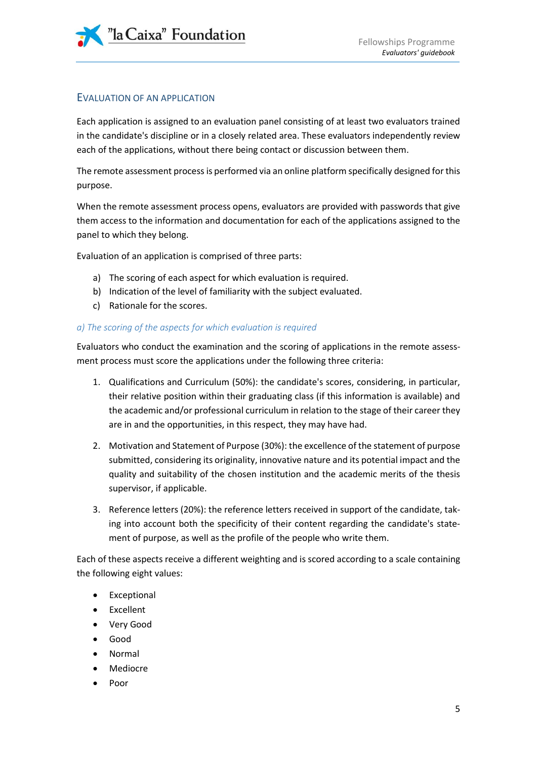

### <span id="page-4-0"></span>EVALUATION OF AN APPLICATION

Each application is assigned to an evaluation panel consisting of at least two evaluators trained in the candidate's discipline or in a closely related area. These evaluators independently review each of the applications, without there being contact or discussion between them.

The remote assessment process is performed via an online platform specifically designed for this purpose.

When the remote assessment process opens, evaluators are provided with passwords that give them access to the information and documentation for each of the applications assigned to the panel to which they belong.

Evaluation of an application is comprised of three parts:

- a) The scoring of each aspect for which evaluation is required.
- b) Indication of the level of familiarity with the subject evaluated.
- c) Rationale for the scores.

#### *a) The scoring of the aspects for which evaluation is required*

Evaluators who conduct the examination and the scoring of applications in the remote assessment process must score the applications under the following three criteria:

- 1. Qualifications and Curriculum (50%): the candidate's scores, considering, in particular, their relative position within their graduating class (if this information is available) and the academic and/or professional curriculum in relation to the stage of their career they are in and the opportunities, in this respect, they may have had.
- 2. Motivation and Statement of Purpose (30%): the excellence of the statement of purpose submitted, considering its originality, innovative nature and its potential impact and the quality and suitability of the chosen institution and the academic merits of the thesis supervisor, if applicable.
- 3. Reference letters (20%): the reference letters received in support of the candidate, taking into account both the specificity of their content regarding the candidate's statement of purpose, as well as the profile of the people who write them.

Each of these aspects receive a different weighting and is scored according to a scale containing the following eight values:

- Exceptional
- Excellent
- Very Good
- Good
- Normal
- Mediocre
- Poor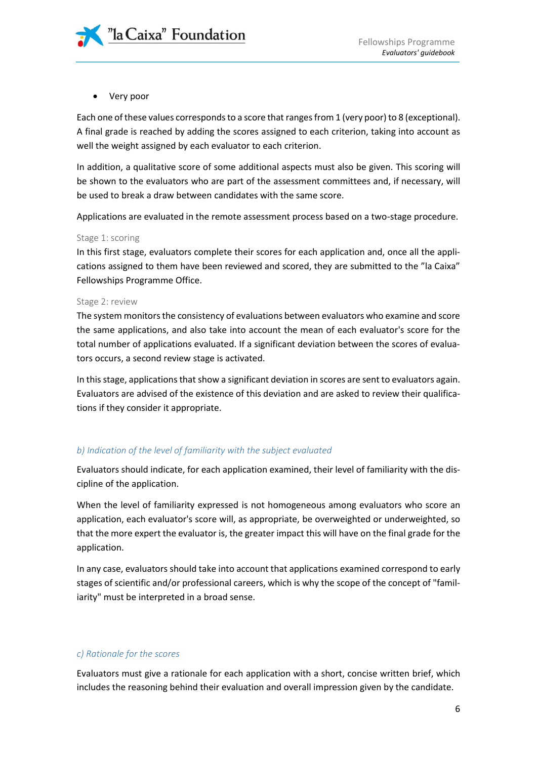

Very poor

Each one of these values corresponds to a score that ranges from 1 (very poor) to 8 (exceptional). A final grade is reached by adding the scores assigned to each criterion, taking into account as well the weight assigned by each evaluator to each criterion.

In addition, a qualitative score of some additional aspects must also be given. This scoring will be shown to the evaluators who are part of the assessment committees and, if necessary, will be used to break a draw between candidates with the same score.

Applications are evaluated in the remote assessment process based on a two-stage procedure.

#### Stage 1: scoring

In this first stage, evaluators complete their scores for each application and, once all the applications assigned to them have been reviewed and scored, they are submitted to the "la Caixa" Fellowships Programme Office.

#### Stage 2: review

The system monitors the consistency of evaluations between evaluators who examine and score the same applications, and also take into account the mean of each evaluator's score for the total number of applications evaluated. If a significant deviation between the scores of evaluators occurs, a second review stage is activated.

In this stage, applications that show a significant deviation in scores are sent to evaluators again. Evaluators are advised of the existence of this deviation and are asked to review their qualifications if they consider it appropriate.

#### *b) Indication of the level of familiarity with the subject evaluated*

Evaluators should indicate, for each application examined, their level of familiarity with the discipline of the application.

When the level of familiarity expressed is not homogeneous among evaluators who score an application, each evaluator's score will, as appropriate, be overweighted or underweighted, so that the more expert the evaluator is, the greater impact this will have on the final grade for the application.

In any case, evaluators should take into account that applications examined correspond to early stages of scientific and/or professional careers, which is why the scope of the concept of "familiarity" must be interpreted in a broad sense.

#### *c) Rationale for the scores*

Evaluators must give a rationale for each application with a short, concise written brief, which includes the reasoning behind their evaluation and overall impression given by the candidate.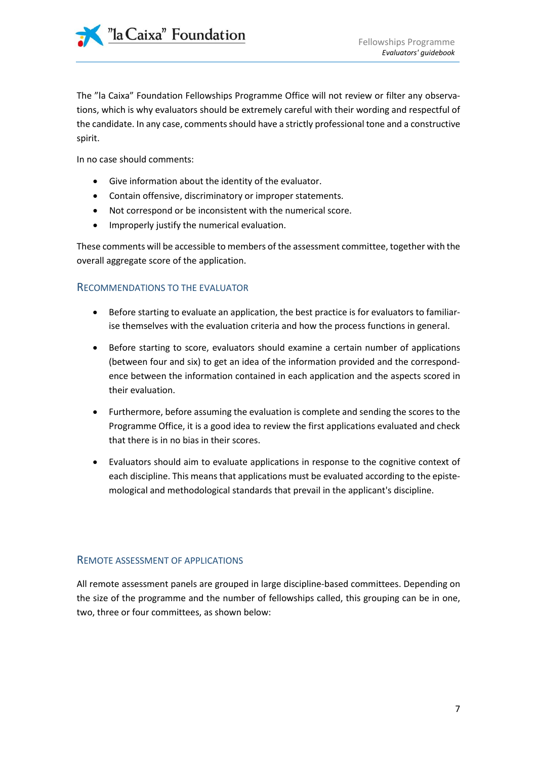The "la Caixa" Foundation Fellowships Programme Office will not review or filter any observations, which is why evaluators should be extremely careful with their wording and respectful of the candidate. In any case, comments should have a strictly professional tone and a constructive spirit.

In no case should comments:

- Give information about the identity of the evaluator.
- Contain offensive, discriminatory or improper statements.
- Not correspond or be inconsistent with the numerical score.
- Improperly justify the numerical evaluation.

These comments will be accessible to members of the assessment committee, together with the overall aggregate score of the application.

#### <span id="page-6-0"></span>RECOMMENDATIONS TO THE EVALUATOR

- Before starting to evaluate an application, the best practice is for evaluators to familiarise themselves with the evaluation criteria and how the process functions in general.
- Before starting to score, evaluators should examine a certain number of applications (between four and six) to get an idea of the information provided and the correspondence between the information contained in each application and the aspects scored in their evaluation.
- Furthermore, before assuming the evaluation is complete and sending the scores to the Programme Office, it is a good idea to review the first applications evaluated and check that there is in no bias in their scores.
- Evaluators should aim to evaluate applications in response to the cognitive context of each discipline. This means that applications must be evaluated according to the epistemological and methodological standards that prevail in the applicant's discipline.

#### <span id="page-6-1"></span>REMOTE ASSESSMENT OF APPLICATIONS

All remote assessment panels are grouped in large discipline-based committees. Depending on the size of the programme and the number of fellowships called, this grouping can be in one, two, three or four committees, as shown below: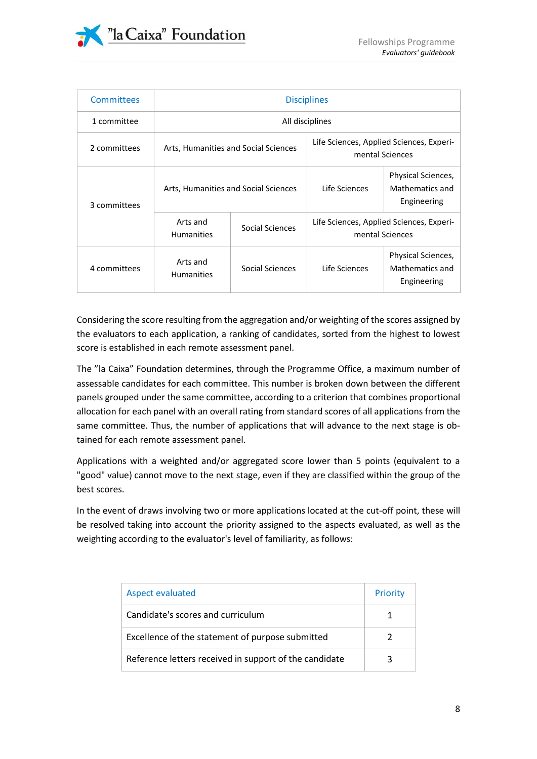

| <b>Committees</b> | <b>Disciplines</b>                   |                 |                                                             |                                                             |
|-------------------|--------------------------------------|-----------------|-------------------------------------------------------------|-------------------------------------------------------------|
| 1 committee       | All disciplines                      |                 |                                                             |                                                             |
| 2 committees      | Arts, Humanities and Social Sciences |                 |                                                             | Life Sciences, Applied Sciences, Experi-<br>mental Sciences |
| 3 committees      | Arts, Humanities and Social Sciences |                 | Life Sciences                                               | Physical Sciences,<br>Mathematics and<br>Engineering        |
|                   | Arts and<br><b>Humanities</b>        | Social Sciences | Life Sciences, Applied Sciences, Experi-<br>mental Sciences |                                                             |
| 4 committees      | Arts and<br><b>Humanities</b>        | Social Sciences | Life Sciences                                               | Physical Sciences,<br>Mathematics and<br>Engineering        |

Considering the score resulting from the aggregation and/or weighting of the scores assigned by the evaluators to each application, a ranking of candidates, sorted from the highest to lowest score is established in each remote assessment panel.

The "la Caixa" Foundation determines, through the Programme Office, a maximum number of assessable candidates for each committee. This number is broken down between the different panels grouped under the same committee, according to a criterion that combines proportional allocation for each panel with an overall rating from standard scores of all applications from the same committee. Thus, the number of applications that will advance to the next stage is obtained for each remote assessment panel.

Applications with a weighted and/or aggregated score lower than 5 points (equivalent to a "good" value) cannot move to the next stage, even if they are classified within the group of the best scores.

In the event of draws involving two or more applications located at the cut-off point, these will be resolved taking into account the priority assigned to the aspects evaluated, as well as the weighting according to the evaluator's level of familiarity, as follows:

| <b>Aspect evaluated</b>                                | Priority |
|--------------------------------------------------------|----------|
| Candidate's scores and curriculum                      |          |
| Excellence of the statement of purpose submitted       |          |
| Reference letters received in support of the candidate |          |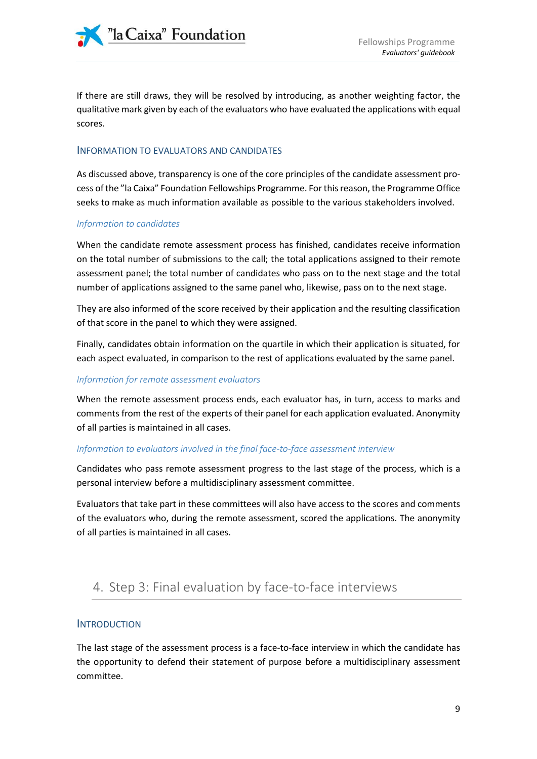

If there are still draws, they will be resolved by introducing, as another weighting factor, the qualitative mark given by each of the evaluators who have evaluated the applications with equal scores.

#### <span id="page-8-0"></span>INFORMATION TO EVALUATORS AND CANDIDATES

As discussed above, transparency is one of the core principles of the candidate assessment process of the "la Caixa" Foundation Fellowships Programme. For this reason, the Programme Office seeks to make as much information available as possible to the various stakeholders involved.

#### *Information to candidates*

When the candidate remote assessment process has finished, candidates receive information on the total number of submissions to the call; the total applications assigned to their remote assessment panel; the total number of candidates who pass on to the next stage and the total number of applications assigned to the same panel who, likewise, pass on to the next stage.

They are also informed of the score received by their application and the resulting classification of that score in the panel to which they were assigned.

Finally, candidates obtain information on the quartile in which their application is situated, for each aspect evaluated, in comparison to the rest of applications evaluated by the same panel.

#### *Information for remote assessment evaluators*

When the remote assessment process ends, each evaluator has, in turn, access to marks and comments from the rest of the experts of their panel for each application evaluated. Anonymity of all parties is maintained in all cases.

#### *Information to evaluators involved in the final face-to-face assessment interview*

Candidates who pass remote assessment progress to the last stage of the process, which is a personal interview before a multidisciplinary assessment committee.

Evaluators that take part in these committees will also have access to the scores and comments of the evaluators who, during the remote assessment, scored the applications. The anonymity of all parties is maintained in all cases.

# <span id="page-8-1"></span>4. Step 3: Final evaluation by face-to-face interviews

#### <span id="page-8-2"></span>**INTRODUCTION**

The last stage of the assessment process is a face-to-face interview in which the candidate has the opportunity to defend their statement of purpose before a multidisciplinary assessment committee.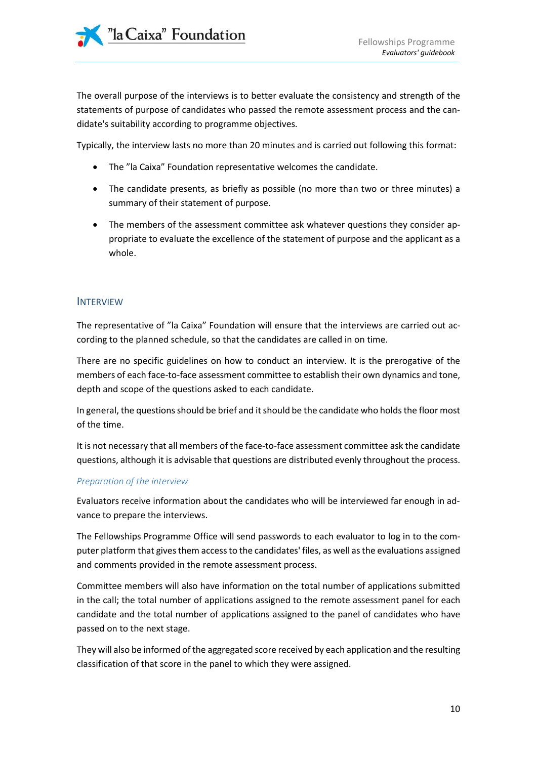The overall purpose of the interviews is to better evaluate the consistency and strength of the statements of purpose of candidates who passed the remote assessment process and the candidate's suitability according to programme objectives.

Typically, the interview lasts no more than 20 minutes and is carried out following this format:

- The "la Caixa" Foundation representative welcomes the candidate.
- The candidate presents, as briefly as possible (no more than two or three minutes) a summary of their statement of purpose.
- The members of the assessment committee ask whatever questions they consider appropriate to evaluate the excellence of the statement of purpose and the applicant as a whole.

#### <span id="page-9-0"></span>INTERVIEW

The representative of "la Caixa" Foundation will ensure that the interviews are carried out according to the planned schedule, so that the candidates are called in on time.

There are no specific guidelines on how to conduct an interview. It is the prerogative of the members of each face-to-face assessment committee to establish their own dynamics and tone, depth and scope of the questions asked to each candidate.

In general, the questions should be brief and it should be the candidate who holds the floor most of the time.

It is not necessary that all members of the face-to-face assessment committee ask the candidate questions, although it is advisable that questions are distributed evenly throughout the process.

#### *Preparation of the interview*

Evaluators receive information about the candidates who will be interviewed far enough in advance to prepare the interviews.

The Fellowships Programme Office will send passwords to each evaluator to log in to the computer platform that gives them access to the candidates' files, as well as the evaluations assigned and comments provided in the remote assessment process.

Committee members will also have information on the total number of applications submitted in the call; the total number of applications assigned to the remote assessment panel for each candidate and the total number of applications assigned to the panel of candidates who have passed on to the next stage.

They will also be informed of the aggregated score received by each application and the resulting classification of that score in the panel to which they were assigned.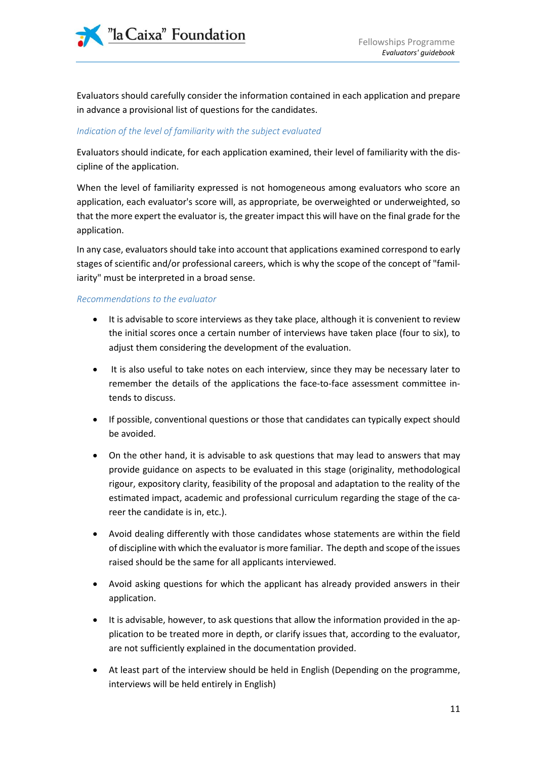

Evaluators should carefully consider the information contained in each application and prepare in advance a provisional list of questions for the candidates.

#### *Indication of the level of familiarity with the subject evaluated*

Evaluators should indicate, for each application examined, their level of familiarity with the discipline of the application.

When the level of familiarity expressed is not homogeneous among evaluators who score an application, each evaluator's score will, as appropriate, be overweighted or underweighted, so that the more expert the evaluator is, the greater impact this will have on the final grade for the application.

In any case, evaluators should take into account that applications examined correspond to early stages of scientific and/or professional careers, which is why the scope of the concept of "familiarity" must be interpreted in a broad sense.

#### *Recommendations to the evaluator*

- It is advisable to score interviews as they take place, although it is convenient to review the initial scores once a certain number of interviews have taken place (four to six), to adjust them considering the development of the evaluation.
- It is also useful to take notes on each interview, since they may be necessary later to remember the details of the applications the face-to-face assessment committee intends to discuss.
- If possible, conventional questions or those that candidates can typically expect should be avoided.
- On the other hand, it is advisable to ask questions that may lead to answers that may provide guidance on aspects to be evaluated in this stage (originality, methodological rigour, expository clarity, feasibility of the proposal and adaptation to the reality of the estimated impact, academic and professional curriculum regarding the stage of the career the candidate is in, etc.).
- Avoid dealing differently with those candidates whose statements are within the field of discipline with which the evaluator is more familiar. The depth and scope of the issues raised should be the same for all applicants interviewed.
- Avoid asking questions for which the applicant has already provided answers in their application.
- It is advisable, however, to ask questions that allow the information provided in the application to be treated more in depth, or clarify issues that, according to the evaluator, are not sufficiently explained in the documentation provided.
- At least part of the interview should be held in English (Depending on the programme, interviews will be held entirely in English)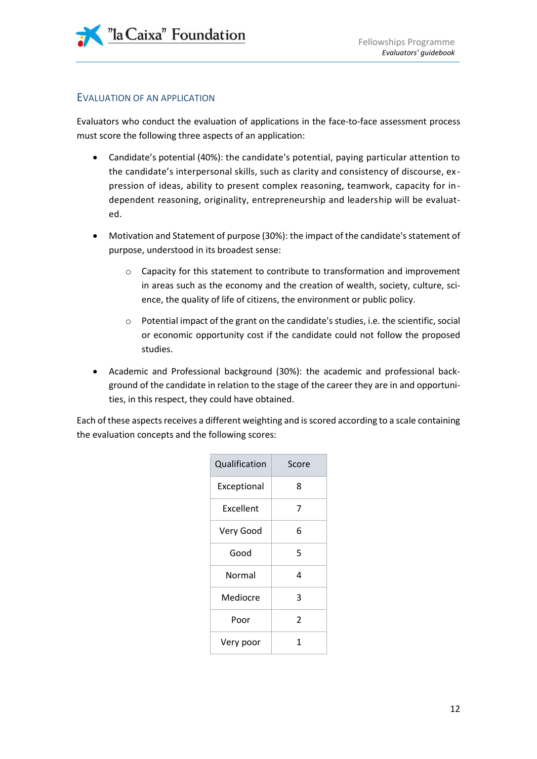### <span id="page-11-0"></span>EVALUATION OF AN APPLICATION

Evaluators who conduct the evaluation of applications in the face-to-face assessment process must score the following three aspects of an application:

- Candidate's potential (40%): the candidate's potential, paying particular attention to the candidate's interpersonal skills, such as clarity and consistency of discourse, ex pression of ideas, ability to present complex reasoning, teamwork, capacity for independent reasoning, originality, entrepreneurship and leadership will be evaluated.
- Motivation and Statement of purpose (30%): the impact of the candidate's statement of purpose, understood in its broadest sense:
	- o Capacity for this statement to contribute to transformation and improvement in areas such as the economy and the creation of wealth, society, culture, science, the quality of life of citizens, the environment or public policy.
	- o Potential impact of the grant on the candidate's studies, i.e. the scientific, social or economic opportunity cost if the candidate could not follow the proposed studies.
- Academic and Professional background (30%): the academic and professional background of the candidate in relation to the stage of the career they are in and opportunities, in this respect, they could have obtained.

Each of these aspects receives a different weighting and is scored according to a scale containing the evaluation concepts and the following scores:

| Qualification | Score |
|---------------|-------|
| Exceptional   | 8     |
| Excellent     | 7     |
| Very Good     | 6     |
| Good          | 5     |
| Normal        | 4     |
| Mediocre      | 3     |
| Poor          | 2     |
| Very poor     | 1     |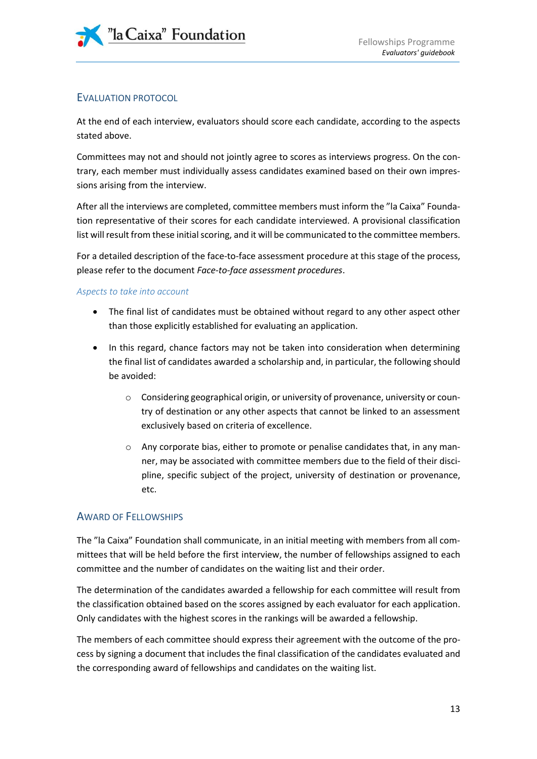### <span id="page-12-0"></span>EVALUATION PROTOCOL

At the end of each interview, evaluators should score each candidate, according to the aspects stated above.

Committees may not and should not jointly agree to scores as interviews progress. On the contrary, each member must individually assess candidates examined based on their own impressions arising from the interview.

After all the interviews are completed, committee members must inform the "la Caixa" Foundation representative of their scores for each candidate interviewed. A provisional classification list will result from these initial scoring, and it will be communicated to the committee members.

For a detailed description of the face-to-face assessment procedure at this stage of the process, please refer to the document *Face-to-face assessment procedures*.

#### *Aspects to take into account*

- The final list of candidates must be obtained without regard to any other aspect other than those explicitly established for evaluating an application.
- In this regard, chance factors may not be taken into consideration when determining the final list of candidates awarded a scholarship and, in particular, the following should be avoided:
	- o Considering geographical origin, or university of provenance, university or country of destination or any other aspects that cannot be linked to an assessment exclusively based on criteria of excellence.
	- o Any corporate bias, either to promote or penalise candidates that, in any manner, may be associated with committee members due to the field of their discipline, specific subject of the project, university of destination or provenance, etc.

### <span id="page-12-1"></span>AWARD OF FELLOWSHIPS

The "la Caixa" Foundation shall communicate, in an initial meeting with members from all committees that will be held before the first interview, the number of fellowships assigned to each committee and the number of candidates on the waiting list and their order.

The determination of the candidates awarded a fellowship for each committee will result from the classification obtained based on the scores assigned by each evaluator for each application. Only candidates with the highest scores in the rankings will be awarded a fellowship.

The members of each committee should express their agreement with the outcome of the process by signing a document that includes the final classification of the candidates evaluated and the corresponding award of fellowships and candidates on the waiting list.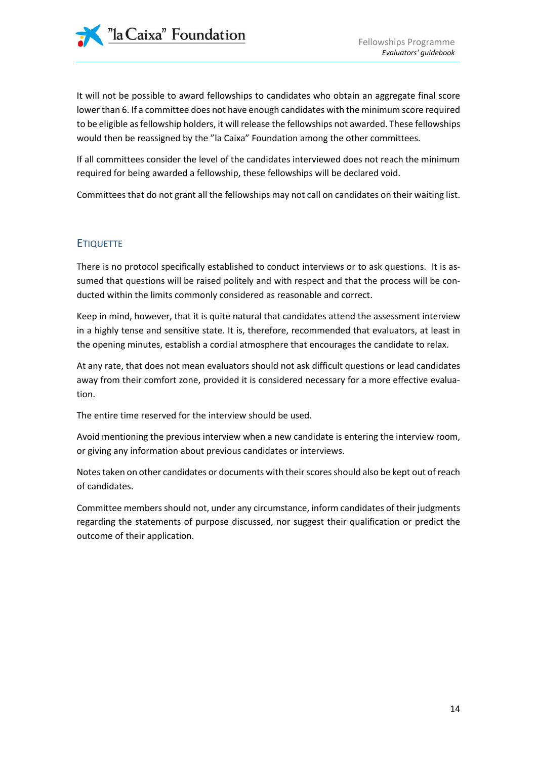It will not be possible to award fellowships to candidates who obtain an aggregate final score lower than 6. If a committee does not have enough candidates with the minimum score required to be eligible as fellowship holders, it will release the fellowships not awarded. These fellowships would then be reassigned by the "la Caixa" Foundation among the other committees.

If all committees consider the level of the candidates interviewed does not reach the minimum required for being awarded a fellowship, these fellowships will be declared void.

Committees that do not grant all the fellowships may not call on candidates on their waiting list.

### <span id="page-13-0"></span>**ETIQUETTE**

There is no protocol specifically established to conduct interviews or to ask questions. It is assumed that questions will be raised politely and with respect and that the process will be conducted within the limits commonly considered as reasonable and correct.

Keep in mind, however, that it is quite natural that candidates attend the assessment interview in a highly tense and sensitive state. It is, therefore, recommended that evaluators, at least in the opening minutes, establish a cordial atmosphere that encourages the candidate to relax.

At any rate, that does not mean evaluators should not ask difficult questions or lead candidates away from their comfort zone, provided it is considered necessary for a more effective evaluation.

The entire time reserved for the interview should be used.

Avoid mentioning the previous interview when a new candidate is entering the interview room, or giving any information about previous candidates or interviews.

Notes taken on other candidates or documents with their scores should also be kept out of reach of candidates.

Committee members should not, under any circumstance, inform candidates of their judgments regarding the statements of purpose discussed, nor suggest their qualification or predict the outcome of their application.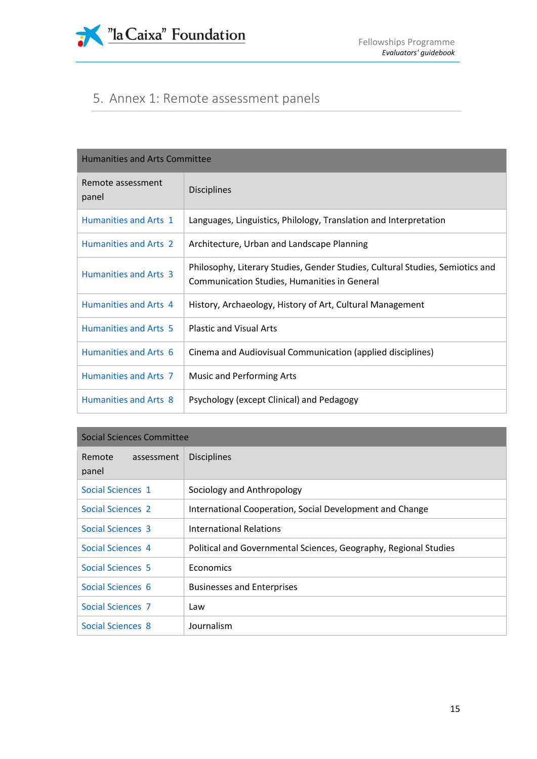

# <span id="page-14-0"></span>5. Annex 1: Remote assessment panels

| <b>Humanities and Arts Committee</b> |                                                                                                                               |  |
|--------------------------------------|-------------------------------------------------------------------------------------------------------------------------------|--|
| Remote assessment<br>panel           | <b>Disciplines</b>                                                                                                            |  |
| Humanities and Arts 1                | Languages, Linguistics, Philology, Translation and Interpretation                                                             |  |
| <b>Humanities and Arts 2</b>         | Architecture, Urban and Landscape Planning                                                                                    |  |
| Humanities and Arts 3                | Philosophy, Literary Studies, Gender Studies, Cultural Studies, Semiotics and<br>Communication Studies, Humanities in General |  |
| Humanities and Arts 4                | History, Archaeology, History of Art, Cultural Management                                                                     |  |
| Humanities and Arts 5                | <b>Plastic and Visual Arts</b>                                                                                                |  |
| Humanities and Arts 6                | Cinema and Audiovisual Communication (applied disciplines)                                                                    |  |
| Humanities and Arts 7                | <b>Music and Performing Arts</b>                                                                                              |  |
| <b>Humanities and Arts 8</b>         | Psychology (except Clinical) and Pedagogy                                                                                     |  |

| Social Sciences Committee     |                                                                  |  |
|-------------------------------|------------------------------------------------------------------|--|
| Remote<br>assessment<br>panel | <b>Disciplines</b>                                               |  |
| Social Sciences 1             | Sociology and Anthropology                                       |  |
| <b>Social Sciences 2</b>      | International Cooperation, Social Development and Change         |  |
| Social Sciences 3             | International Relations                                          |  |
| Social Sciences 4             | Political and Governmental Sciences, Geography, Regional Studies |  |
| Social Sciences 5             | Economics                                                        |  |
| Social Sciences 6             | <b>Businesses and Enterprises</b>                                |  |
| Social Sciences 7             | Law                                                              |  |
| Social Sciences 8             | Journalism                                                       |  |